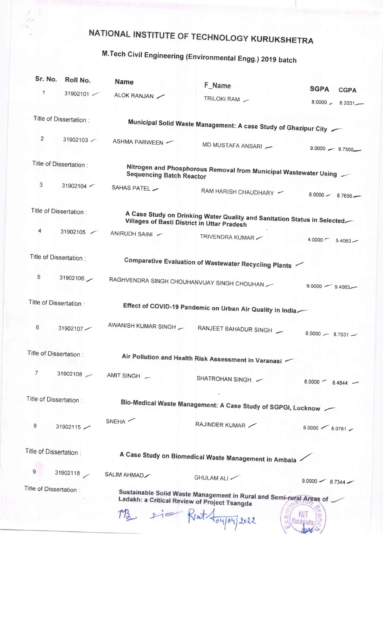## NATIONAL INSTITUTE OF TECHNOLOGY KURUKSHETRA

## M. Tech Civil Engineering (Environmental Engg.) 2019 batch

| Sr. No.                 | Roll No.               | <b>Name</b>                                                                                                                    | F_Name                                                                      |                                    |  |  |
|-------------------------|------------------------|--------------------------------------------------------------------------------------------------------------------------------|-----------------------------------------------------------------------------|------------------------------------|--|--|
| $\mathbf{1}$            | 31902101               | ALOK RANJAN                                                                                                                    | TRILOKI RAM -                                                               | <b>SGPA</b><br><b>CGPA</b>         |  |  |
|                         |                        |                                                                                                                                |                                                                             | $8.0000 - 8.2031$                  |  |  |
|                         | Title of Dissertation: |                                                                                                                                |                                                                             |                                    |  |  |
|                         |                        |                                                                                                                                | Municipal Solid Waste Management: A case Study of Ghazipur City             |                                    |  |  |
| $\overline{2}$          | 31902103               | ASHMA PARWEEN                                                                                                                  | MD MUSTAFA ANSARI -                                                         |                                    |  |  |
|                         |                        |                                                                                                                                |                                                                             | $9.0000 - 9.7500$                  |  |  |
| Title of Dissertation:  |                        | Nitrogen and Phosphorous Removal from Municipal Wastewater Using                                                               |                                                                             |                                    |  |  |
| 3                       | 31902104               | <b>Sequencing Batch Reactor</b>                                                                                                |                                                                             |                                    |  |  |
|                         |                        | SAHAS PATEL -                                                                                                                  | RAM HARISH CHAUDHARY -                                                      | $8.0000 - 8.7656$ -                |  |  |
|                         |                        |                                                                                                                                |                                                                             |                                    |  |  |
| Title of Dissertation : |                        | A Case Study on Drinking Water Quality and Sanitation Status in Selected<br><b>Villages of Basti District in Uttar Pradesh</b> |                                                                             |                                    |  |  |
| 4                       | 31902105               | ANIRUDH SAINI /                                                                                                                | TRIVENDRA KUMAR                                                             | $4.0000 \, \text{C}$<br>$5.4063 -$ |  |  |
|                         |                        |                                                                                                                                |                                                                             |                                    |  |  |
| Title of Dissertation : |                        |                                                                                                                                | Comparative Evaluation of Wastewater Recycling Plants $\check{\phantom{a}}$ |                                    |  |  |
|                         |                        |                                                                                                                                |                                                                             |                                    |  |  |
| 5                       | 31902106               |                                                                                                                                | RAGHVENDRA SINGH CHOUHANVIJAY SINGH CHOUHAN                                 | $9.0000 - 9.4063 -$                |  |  |
|                         |                        |                                                                                                                                |                                                                             |                                    |  |  |
| Title of Dissertation:  |                        |                                                                                                                                | Effect of COVID-19 Pandemic on Urban Air Quality in India                   |                                    |  |  |
| 6                       | 31902107               | AWANISH KUMAR SINGH                                                                                                            |                                                                             |                                    |  |  |
|                         |                        |                                                                                                                                | RANJEET BAHADUR SINGH                                                       | $8.0000 - 8.7031 -$                |  |  |
| Title of Dissertation:  |                        |                                                                                                                                |                                                                             |                                    |  |  |
|                         |                        |                                                                                                                                | Air Pollution and Health Risk Assessment in Varanasi                        |                                    |  |  |
| $\overline{7}$          |                        | 31902108 - AMIT SINGH                                                                                                          | SHATROHAN SINGH -                                                           |                                    |  |  |
|                         |                        |                                                                                                                                |                                                                             | $8.0000 - 8.4844 -$                |  |  |
| Title of Dissertation:  |                        |                                                                                                                                | Bio-Medical Waste Management: A Case Study of SGPGI, Lucknow                |                                    |  |  |
|                         |                        |                                                                                                                                |                                                                             |                                    |  |  |
| 8                       | 31902115               | <b>SNEHA</b>                                                                                                                   | RAJINDER KUMAR                                                              | $8.0000 - 8.0781 -$                |  |  |
|                         |                        |                                                                                                                                |                                                                             |                                    |  |  |
| Title of Dissertation:  |                        |                                                                                                                                | A Case Study on Biomedical Waste Management in Ambala                       |                                    |  |  |
|                         |                        |                                                                                                                                |                                                                             |                                    |  |  |
| 9                       | 31902118               | SALIM AHMAD                                                                                                                    | GHULAM ALI                                                                  | $9.0000 - 8.7344 -$                |  |  |
| Title of Dissertation : |                        | Sustainable Solid Waste Management in Rural and Semi-rural Areas of $\sim$                                                     |                                                                             |                                    |  |  |
|                         |                        | Ladakh: a Critical Review of Project Tsangda                                                                                   |                                                                             |                                    |  |  |
|                         |                        |                                                                                                                                | rie Riat Aoyou 2022                                                         |                                    |  |  |
|                         |                        |                                                                                                                                |                                                                             |                                    |  |  |